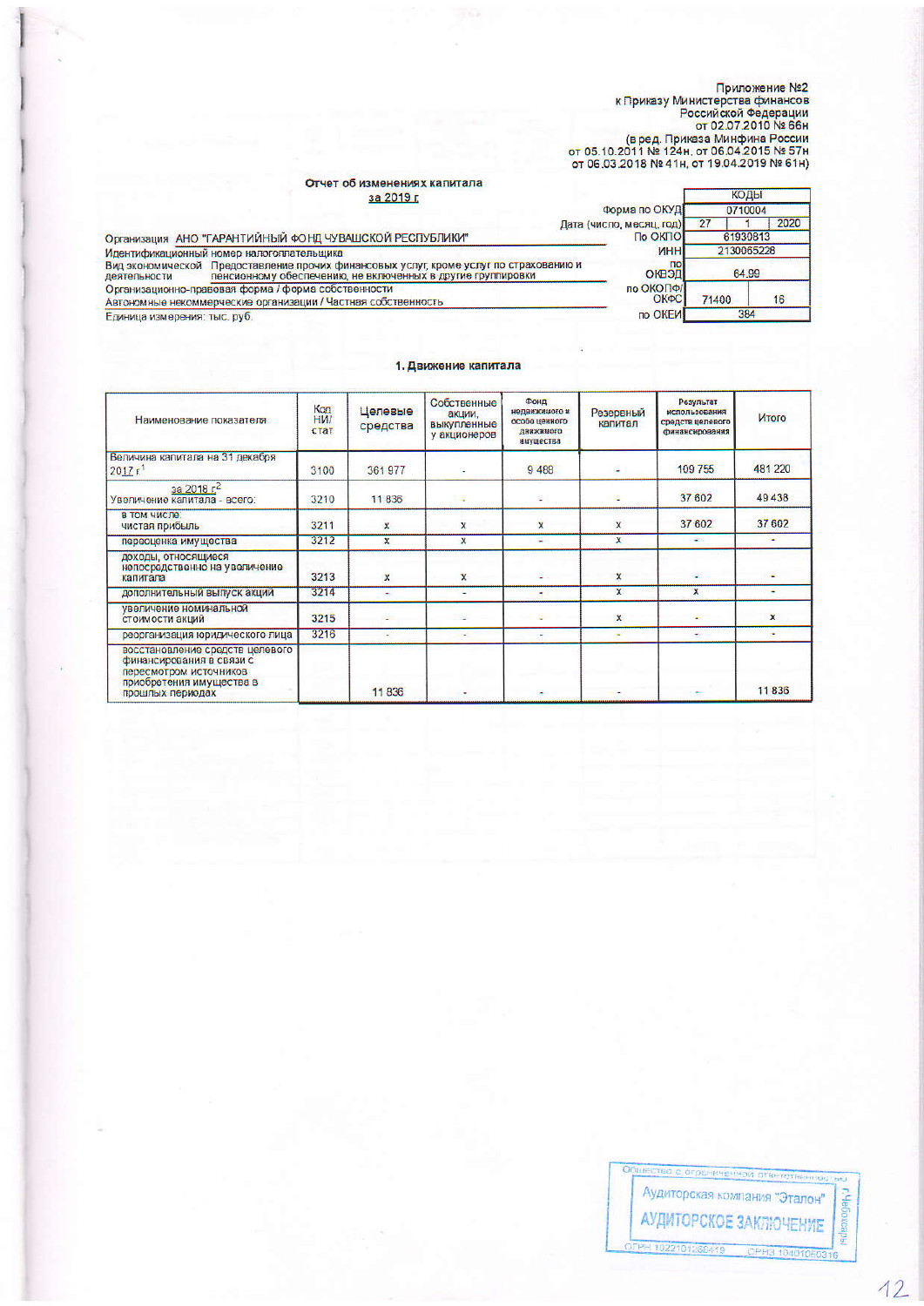$\sqrt{2}$ 

Приложение №2<br>К Приказу Министерства финансов<br>Российской Федерации<br>от 02.07.2010 № 66н<br>(в ред. Приказа Минфина России<br>от 05.10.2011 № 124н, от 06.04.2015 № 57н<br>от 06.03.2018 № 41н, от 19.04.2019 № 61н)

÷

# Отчет об изменениях капитала

| за 2019 г.                                                                                                                                                           |                          | <b>NULLER</b> |      |
|----------------------------------------------------------------------------------------------------------------------------------------------------------------------|--------------------------|---------------|------|
|                                                                                                                                                                      | Форма по ОКУД            | 0710004       |      |
|                                                                                                                                                                      | Дата (число, месяц, год) |               | 2020 |
| Организация АНО "ГАРАНТИЙНЫЙ ФОНД ЧУВАШСКОЙ РЕСПУБЛИКИ"                                                                                                              | По ОКПО                  | 61930813      |      |
| Идентификационный номер налогоплательщика                                                                                                                            | <b>MHH</b>               | 2130065228    |      |
| Вид экономической Предоставление прочих финансовых услуг кроме услуг по страхованию и<br>пенсионному обеспечению, не включенных в другие группировки<br>деятельности | no<br>ОКВЭД              | 64 99         |      |
| Организационно-правовая форма / форма собственности                                                                                                                  | по ОКОПФ/<br>ОКФС        | 71400         |      |
| Автономные некоммерческие организации / Частная собственность                                                                                                        |                          |               | 16   |
| Единица измерения: тыс. руб.                                                                                                                                         | по ОКЕИ                  | 384           |      |

### 1. Движение капитала

| Наименование показателя                                                                                                               | Код<br><b>HW</b><br>стат | Целевые<br>средства | Собственные<br>акции.<br>выкупленные<br>у акционеров | Фонд<br>недвижимого и<br>особо ценного<br>движныего<br>имущества | Резервный<br>капитал | Результат<br>использования<br>средств целевого<br>финансирования | Итого   |
|---------------------------------------------------------------------------------------------------------------------------------------|--------------------------|---------------------|------------------------------------------------------|------------------------------------------------------------------|----------------------|------------------------------------------------------------------|---------|
| Величина капитала на 31 декабря<br>$2017 r$ <sup>1</sup>                                                                              | 3100                     | 361 977             |                                                      | 9488                                                             | ٠                    | 109 755                                                          | 481 220 |
| $3a\ 20185^2$<br>Увеличение капитала - всего:                                                                                         | 3210                     | 11836               | 59                                                   | ε                                                                | ÷                    | 37 602                                                           | 49438   |
| в том числе:<br>чистая прибыль                                                                                                        | 3211                     | $\mathbf{x}$        | X                                                    | $\mathsf{x}$                                                     | X                    | 37 602                                                           | 37 602  |
| переоценка имущества                                                                                                                  | 3212                     | $\mathbf{x}$        | x                                                    | ÷                                                                | x                    | ٠                                                                |         |
| доходы, относящиеся<br>непосредственно на увеличение<br>капитала                                                                      | 3213                     | $\mathbf{x}$        | $\mathbf{x}$                                         |                                                                  | x                    | ٠                                                                |         |
| дополнительный выпуск акций                                                                                                           | 3214                     | ÷                   | ۰                                                    | ٠                                                                | $\mathbf{x}$         | $\mathbf x$                                                      |         |
| увеличение номинальной<br>стоимости акции                                                                                             | 3215                     |                     |                                                      | ÷                                                                | X                    | $\overline{\phantom{a}}$                                         | ×       |
| реорганизация юридического лица                                                                                                       | 3216                     | ٠                   | w.                                                   | ۰                                                                | ۰                    | ٠                                                                | ٠       |
| восстановление средств целевого<br>финансирования в связи с<br>пересмотром источников<br>приобретения имущества в<br>прошлых периодах |                          | 11836               |                                                      |                                                                  |                      |                                                                  | 11836   |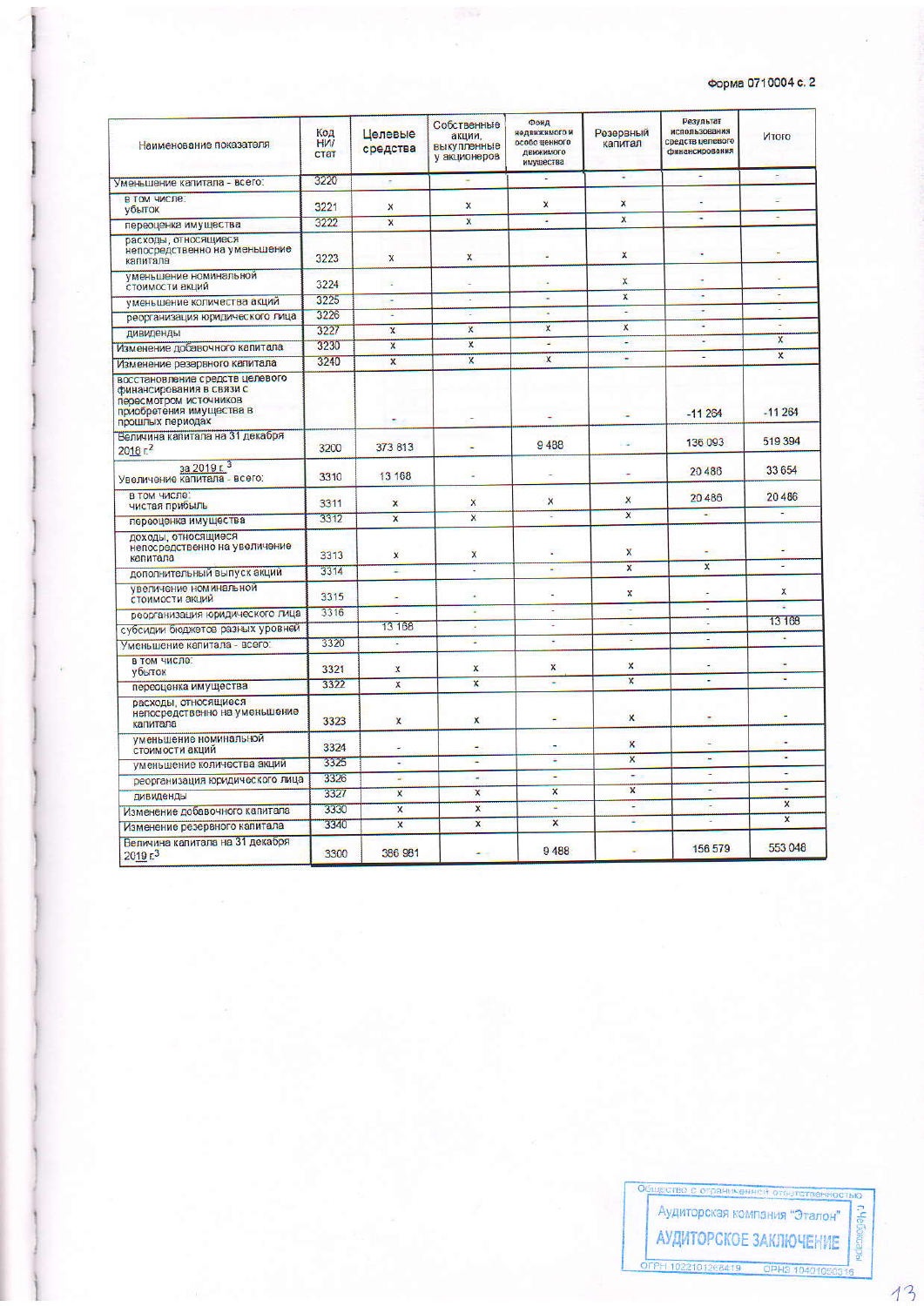## Форма 0710004 с. 2

| Наименование показателя                                                                                                               | Код<br><b>HVI</b><br>стат | Целевые<br>средства       | Собственные<br>акции,<br>выкупленные<br>у акционеров | Фонд<br>недвижныего и<br>особо ценного<br>движимого<br>имущества | Резервный<br>капитал    | Результат<br>использования<br>средств целевого<br>финансирования | Итого                     |
|---------------------------------------------------------------------------------------------------------------------------------------|---------------------------|---------------------------|------------------------------------------------------|------------------------------------------------------------------|-------------------------|------------------------------------------------------------------|---------------------------|
| Уменьшение капитала - всего:                                                                                                          | 3220                      | ٠                         |                                                      |                                                                  | ٠                       |                                                                  |                           |
| в том числе:<br>убыток                                                                                                                | 3221                      | X                         | $\mathbf{x}$                                         | ×                                                                | $\mathbf{x}$            |                                                                  |                           |
| переоценка имущества                                                                                                                  | 3222                      | $\overline{\mathbf{x}}$   | $\overline{\mathbf{x}}$                              | ÷                                                                | $\mathbf{x}$            | υ                                                                | ä,                        |
| расходы, относящиеся<br>непосредственно на уменьшение<br>капитала                                                                     | 3223                      | $\boldsymbol{\mathsf{x}}$ | $\mathsf{x}$                                         |                                                                  | ×                       | ÷                                                                | Ξ                         |
| уменьшение номинальной<br>стоимости акции                                                                                             | 3224                      | ÷                         |                                                      |                                                                  | X                       | ٠                                                                | ¥                         |
| уменьшение количества акций                                                                                                           | 3225                      | ٠                         | ı.                                                   | ٠                                                                | X                       | ٠                                                                | ÷                         |
| реорганизация юридического лица                                                                                                       | 3226                      | ٠                         | ÷                                                    | ×                                                                |                         | ٠                                                                | ч                         |
| дивиденды                                                                                                                             | 3227                      | $\mathbf{x}$              | $\boldsymbol{x}$                                     | $\mathbf{x}$                                                     | X                       | ٠                                                                | ٠                         |
| Изменение добавочного капитала                                                                                                        | 3230                      | $\overline{\mathbf{x}}$   | $\boldsymbol{x}$                                     | ۷                                                                | ۷                       | ٠                                                                | $\mathbf x$               |
| Изменение резервного капитала                                                                                                         | 3240                      | $\overline{\mathbf{x}}$   | $\overline{\mathbf{x}}$                              | X                                                                | ÷                       | ٠                                                                | $\boldsymbol{\mathsf{x}}$ |
| восстановление средств целевого<br>финансирования в связи с<br>пересмотром источников<br>приобретения имущества в<br>прошлых периодах |                           |                           |                                                      | ٠                                                                |                         | $-11264$                                                         | $-11264$                  |
| Величина капитала на 31 декабря<br>$2018F^2$                                                                                          | 3200                      | 373 813                   | ٠                                                    | 9488                                                             | ٠                       | 136 093                                                          | 519394                    |
| за 2019 г. 3<br>Увеличение капитала - всего:                                                                                          | 3310                      | 13 168                    | ۷                                                    |                                                                  | ÷                       | 20 486                                                           | 33 654                    |
| в том числе<br>чистая прибыль                                                                                                         | 3311                      | X                         | X                                                    | X                                                                | X                       | 20 486                                                           | 20 486<br>۰.              |
| переоценка имущества                                                                                                                  | 3312                      | $\overline{\mathsf{x}}$   | $\mathsf{x}$                                         | ä,                                                               | $\overline{\mathsf{x}}$ | ä,                                                               |                           |
| доходы, относящиеся<br>непосредственно на увеличение<br>капитала                                                                      | 3313                      | x                         | $\mathbf{x}$                                         | ۵                                                                | X                       |                                                                  |                           |
| дополнительный выпуск акций                                                                                                           | 3314                      | ¥.                        | ÷                                                    | ٠                                                                | $\overline{\mathbf{x}}$ | $\overline{\mathbf{x}}$                                          |                           |
| увеличение номинальной<br>стоимости акций                                                                                             | 3315                      | ۰                         |                                                      | u                                                                | x                       |                                                                  | x                         |
| реорганизация юридического лица                                                                                                       | 3316                      |                           | ۷                                                    | ×                                                                | ٠                       | $\overline{\phantom{a}}$                                         |                           |
| субсидии бюджетов разных уровней                                                                                                      |                           | 13 168                    | l,                                                   | ÷,                                                               | c                       | $\ddot{}$                                                        | 13 168                    |
| Уменьшение капитала - всего                                                                                                           | 3320                      | L                         | u,                                                   | ÷                                                                | ٠                       | ٠                                                                |                           |
| в том числе:<br>убыток                                                                                                                | 3321                      | x                         | $\boldsymbol{x}$                                     | x                                                                | ×                       | ٠                                                                | z                         |
| переоценка имущества                                                                                                                  | 3322                      | X                         | $\overline{\mathbf{x}}$                              | ۷                                                                | X                       | ٠                                                                |                           |
| расходы, относящиеся<br>непосредственно на уменьшение<br>капитала                                                                     | 3323                      | $\mathbf x$               | X                                                    | ٠                                                                | $\mathbf{x}$            |                                                                  |                           |
| уменьшение номинальной<br>стоимости акций                                                                                             | 3324                      |                           | ÷                                                    | ۰                                                                | X                       |                                                                  | ٠                         |
| үменьшение количества акций                                                                                                           | 3325                      | ٠                         | ٠                                                    | Ψ                                                                | $\overline{\mathbf{x}}$ | ÷                                                                | u                         |
| реорганизация юридического лица                                                                                                       | 3326                      | ۷                         | ٠                                                    | ÷                                                                | ٠                       | ¥                                                                | ÷,                        |
| дивиденды                                                                                                                             | 3327                      | $\mathbf{x}$              | X                                                    | $\overline{\mathsf{x}}$                                          | $\boldsymbol{x}$        | ٠                                                                | ù,                        |
| Изменение добавочного капитала                                                                                                        | 3330                      | x                         | $\boldsymbol{\mathsf{x}}$                            | G.                                                               | ÷                       | ÷                                                                | X                         |
| Изменение резервного капитала                                                                                                         | 3340                      | $\overline{\mathbf{x}}$   | $\mathbf{x}$                                         | x                                                                | ٠                       | z                                                                | $\overline{\mathbf{x}}$   |
| Величина капитала на 31 декабря<br>2019 <sub>5</sub>                                                                                  | 3300                      | 386 981                   |                                                      | 9488                                                             |                         | 156 579                                                          | 553048                    |

щество с ограникенной о Аудиторская компания "Эталон" **Dehit** АУДИТОРСКОЕ ЗАКЛЮЧЕНИЕ OFPH 1022101268419 OPH3 1040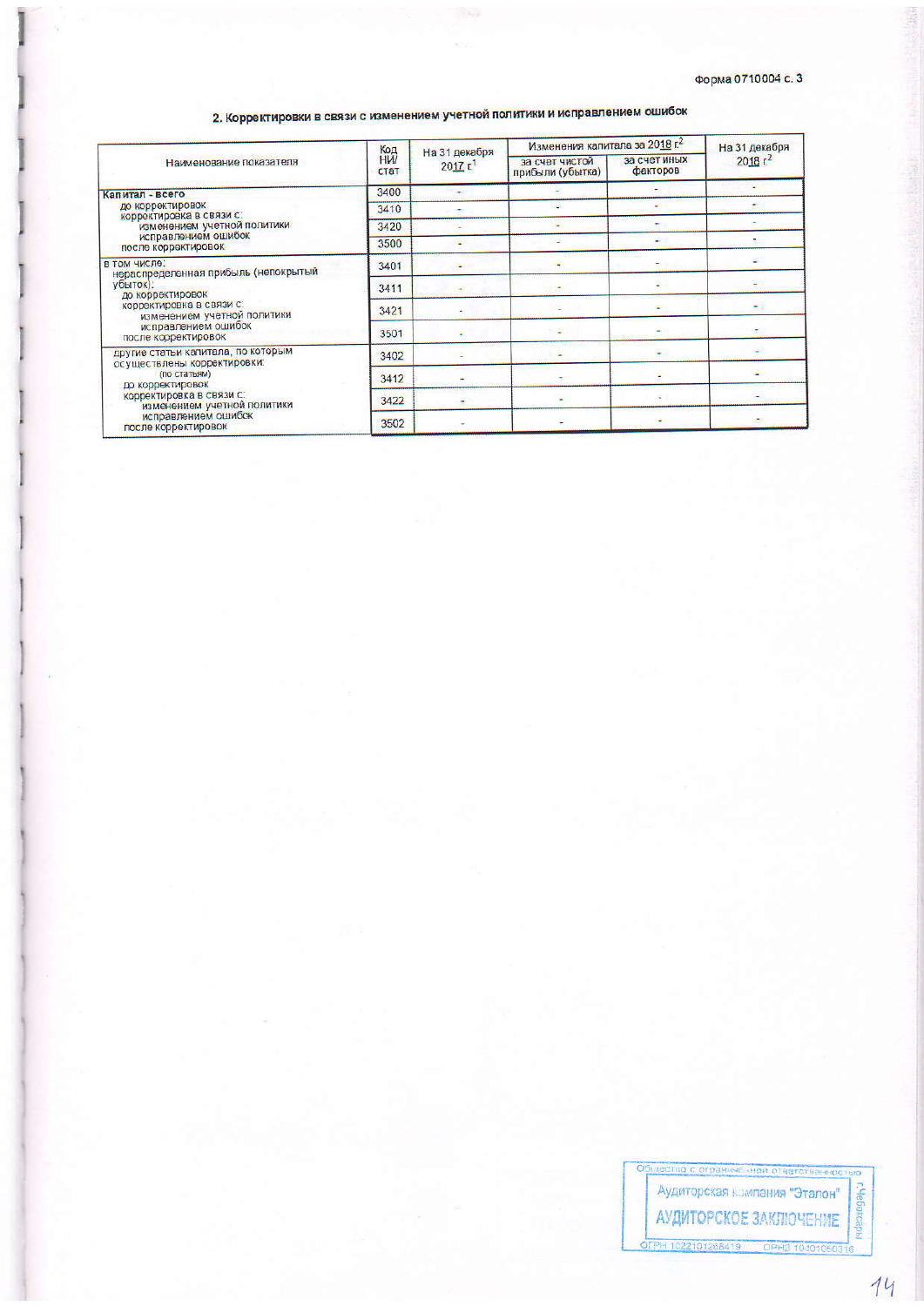# 2. Корректировки в связи с изменением учетной политики и исправлением ошибок

|                                                                                                                                                                                                                | Код               | На 31 декабря         | Изменения капитала за 2018 г.      | На 31 декабря            |                     |
|----------------------------------------------------------------------------------------------------------------------------------------------------------------------------------------------------------------|-------------------|-----------------------|------------------------------------|--------------------------|---------------------|
| Наименование показателя                                                                                                                                                                                        | <b>HW</b><br>стат | $2017$ Γ <sup>1</sup> | за счет чистой<br>прибыли (убытка) | за счет иных<br>факторов | 2018 r <sup>2</sup> |
| Капитал - всего<br>до корректировок<br>корректировка в связи с:<br>изменением учетной политики<br>исправлением ошибок<br>после корректировок                                                                   | 3400              |                       |                                    |                          |                     |
|                                                                                                                                                                                                                | 3410              |                       |                                    |                          |                     |
|                                                                                                                                                                                                                | 3420              |                       |                                    |                          |                     |
|                                                                                                                                                                                                                | 3500              |                       |                                    |                          |                     |
| В ТОМ ЧИСЛО:<br>нераспределенная прибыль (непокрытый<br>убыток).<br>до корректировок<br>корректировка в связи с:<br>изменением учетной политики<br>исправлением ошибок<br>после корректировок                  | 3401              |                       |                                    |                          |                     |
|                                                                                                                                                                                                                | 3411              |                       |                                    | gi =                     |                     |
|                                                                                                                                                                                                                | 3421              |                       |                                    |                          |                     |
|                                                                                                                                                                                                                | 3501              |                       | <b>COL</b>                         |                          |                     |
| другие статьи капитала, по которым<br>осуществлены корректировки:<br>(по статьям)<br>до корректировок<br>корректировка в связи с:<br>изменением учетной политики<br>исправлением ошибок<br>после корректировок | 3402              |                       |                                    |                          |                     |
|                                                                                                                                                                                                                | 3412              |                       |                                    |                          |                     |
|                                                                                                                                                                                                                | 3422              |                       | $\overline{\phantom{a}}$           |                          |                     |
|                                                                                                                                                                                                                | 3502              |                       |                                    |                          |                     |

ство с ограниченной ответстваннос

C